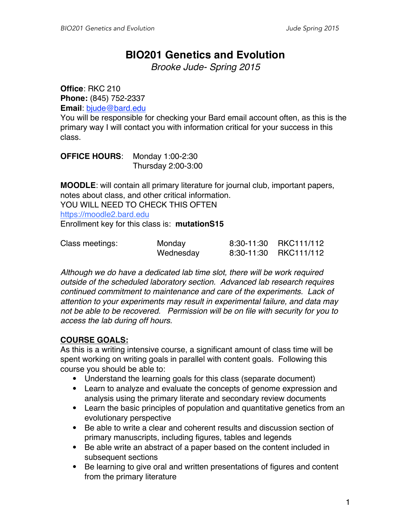## **BIO201 Genetics and Evolution**

*Brooke Jude- Spring 2015*

**Office**: RKC 210 **Phone:** (845) 752-2337 **Email**: bjude@bard.edu

You will be responsible for checking your Bard email account often, as this is the primary way I will contact you with information critical for your success in this class.

**OFFICE HOURS**: Monday 1:00-2:30 Thursday 2:00-3:00

**MOODLE**: will contain all primary literature for journal club, important papers, notes about class, and other critical information. YOU WILL NEED TO CHECK THIS OFTEN https://moodle2.bard.edu Enrollment key for this class is: **mutationS15**

| Class meetings: | Monday    | 8:30-11:30 RKC111/112 |
|-----------------|-----------|-----------------------|
|                 | Wednesday | 8:30-11:30 RKC111/112 |

*Although we do have a dedicated lab time slot, there will be work required outside of the scheduled laboratory section. Advanced lab research requires continued commitment to maintenance and care of the experiments. Lack of attention to your experiments may result in experimental failure, and data may not be able to be recovered. Permission will be on file with security for you to access the lab during off hours.*

## **COURSE GOALS:**

As this is a writing intensive course, a significant amount of class time will be spent working on writing goals in parallel with content goals. Following this course you should be able to:

- Understand the learning goals for this class (separate document)
- Learn to analyze and evaluate the concepts of genome expression and analysis using the primary literate and secondary review documents
- Learn the basic principles of population and quantitative genetics from an evolutionary perspective
- Be able to write a clear and coherent results and discussion section of primary manuscripts, including figures, tables and legends
- Be able write an abstract of a paper based on the content included in subsequent sections
- Be learning to give oral and written presentations of figures and content from the primary literature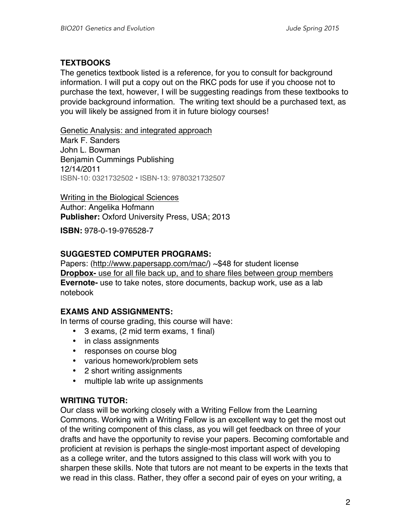#### **TEXTBOOKS**

The genetics textbook listed is a reference, for you to consult for background information. I will put a copy out on the RKC pods for use if you choose not to purchase the text, however, I will be suggesting readings from these textbooks to provide background information. The writing text should be a purchased text, as you will likely be assigned from it in future biology courses!

Genetic Analysis: and integrated approach Mark F. Sanders John L. Bowman Benjamin Cummings Publishing 12/14/2011 ISBN-10: 0321732502 • ISBN-13: 9780321732507

Writing in the Biological Sciences

Author: Angelika Hofmann **Publisher:** Oxford University Press, USA; 2013

**ISBN:** 978-0-19-976528-7

#### **SUGGESTED COMPUTER PROGRAMS:**

Papers: (http://www.papersapp.com/mac/) ~\$48 for student license **Dropbox-** use for all file back up, and to share files between group members **Evernote-** use to take notes, store documents, backup work, use as a lab notebook

#### **EXAMS AND ASSIGNMENTS:**

In terms of course grading, this course will have:

- 3 exams, (2 mid term exams, 1 final)
- in class assignments
- responses on course blog
- various homework/problem sets
- 2 short writing assignments
- multiple lab write up assignments

#### **WRITING TUTOR:**

Our class will be working closely with a Writing Fellow from the Learning Commons. Working with a Writing Fellow is an excellent way to get the most out of the writing component of this class, as you will get feedback on three of your drafts and have the opportunity to revise your papers. Becoming comfortable and proficient at revision is perhaps the single-most important aspect of developing as a college writer, and the tutors assigned to this class will work with you to sharpen these skills. Note that tutors are not meant to be experts in the texts that we read in this class. Rather, they offer a second pair of eyes on your writing, a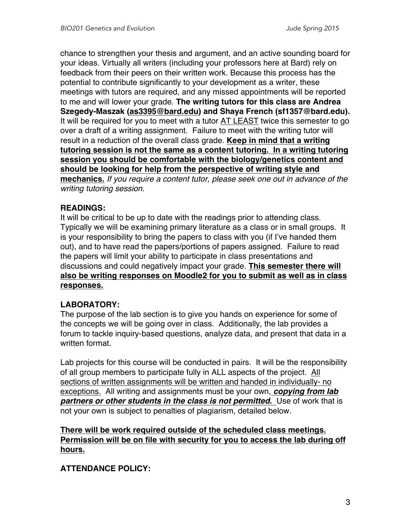chance to strengthen your thesis and argument, and an active sounding board for your ideas. Virtually all writers (including your professors here at Bard) rely on feedback from their peers on their written work. Because this process has the potential to contribute significantly to your development as a writer, these meetings with tutors are required, and any missed appointments will be reported to me and will lower your grade. **The writing tutors for this class are Andrea Szegedy-Maszak (as3395@bard.edu) and Shaya French (sf1357@bard.edu).** It will be required for you to meet with a tutor AT LEAST twice this semester to go over a draft of a writing assignment. Failure to meet with the writing tutor will result in a reduction of the overall class grade. **Keep in mind that a writing tutoring session is not the same as a content tutoring. In a writing tutoring session you should be comfortable with the biology/genetics content and should be looking for help from the perspective of writing style and mechanics.** *If you require a content tutor, please seek one out in advance of the writing tutoring session.*

#### **READINGS:**

It will be critical to be up to date with the readings prior to attending class. Typically we will be examining primary literature as a class or in small groups. It is your responsibility to bring the papers to class with you (if I've handed them out), and to have read the papers/portions of papers assigned. Failure to read the papers will limit your ability to participate in class presentations and discussions and could negatively impact your grade. **This semester there will also be writing responses on Moodle2 for you to submit as well as in class responses.**

## **LABORATORY:**

The purpose of the lab section is to give you hands on experience for some of the concepts we will be going over in class. Additionally, the lab provides a forum to tackle inquiry-based questions, analyze data, and present that data in a written format.

Lab projects for this course will be conducted in pairs. It will be the responsibility of all group members to participate fully in ALL aspects of the project. All sections of written assignments will be written and handed in individually- no exceptions. All writing and assignments must be your own, *copying from lab partners or other students in the class is not permitted***.** Use of work that is not your own is subject to penalties of plagiarism, detailed below.

#### **There will be work required outside of the scheduled class meetings. Permission will be on file with security for you to access the lab during off hours.**

## **ATTENDANCE POLICY:**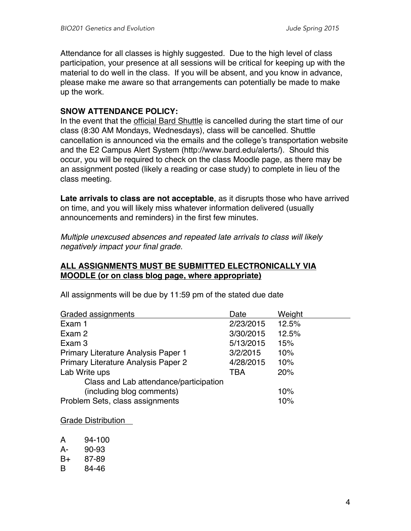Attendance for all classes is highly suggested. Due to the high level of class participation, your presence at all sessions will be critical for keeping up with the material to do well in the class. If you will be absent, and you know in advance, please make me aware so that arrangements can potentially be made to make up the work.

#### **SNOW ATTENDANCE POLICY:**

In the event that the official Bard Shuttle is cancelled during the start time of our class (8:30 AM Mondays, Wednesdays), class will be cancelled. Shuttle cancellation is announced via the emails and the college's transportation website and the E2 Campus Alert System (http://www.bard.edu/alerts/). Should this occur, you will be required to check on the class Moodle page, as there may be an assignment posted (likely a reading or case study) to complete in lieu of the class meeting.

**Late arrivals to class are not acceptable**, as it disrupts those who have arrived on time, and you will likely miss whatever information delivered (usually announcements and reminders) in the first few minutes.

*Multiple unexcused absences and repeated late arrivals to class will likely negatively impact your final grade.*

#### **ALL ASSIGNMENTS MUST BE SUBMITTED ELECTRONICALLY VIA MOODLE (or on class blog page, where appropriate)**

| Graded assignments                     | Date       | Weight |
|----------------------------------------|------------|--------|
| Exam 1                                 | 2/23/2015  | 12.5%  |
| Exam 2                                 | 3/30/2015  | 12.5%  |
| Exam 3                                 | 5/13/2015  | 15%    |
| Primary Literature Analysis Paper 1    | 3/2/2015   | 10%    |
| Primary Literature Analysis Paper 2    | 4/28/2015  | 10%    |
| Lab Write ups                          | <b>TBA</b> | 20%    |
| Class and Lab attendance/participation |            |        |
| (including blog comments)              |            | 10%    |
| Problem Sets, class assignments        |            | 10%    |

All assignments will be due by 11:59 pm of the stated due date

Grade Distribution

| A  | 94-100 |
|----|--------|
| А- | 90-93  |
| B+ | 87-89  |

B 84-46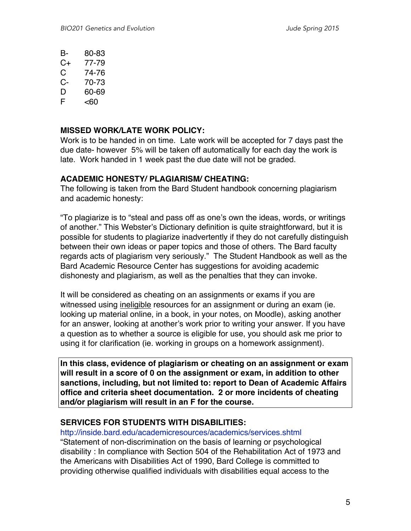| В- | 80-83 |
|----|-------|
|    |       |

- C+ 77-79
- C 74-76
- C- 70-73
- D 60-69
- $F \sim 60$

### **MISSED WORK/LATE WORK POLICY:**

Work is to be handed in on time. Late work will be accepted for 7 days past the due date- however 5% will be taken off automatically for each day the work is late. Work handed in 1 week past the due date will not be graded.

### **ACADEMIC HONESTY/ PLAGIARISM/ CHEATING:**

The following is taken from the Bard Student handbook concerning plagiarism and academic honesty:

"To plagiarize is to "steal and pass off as one's own the ideas, words, or writings of another." This Webster's Dictionary definition is quite straightforward, but it is possible for students to plagiarize inadvertently if they do not carefully distinguish between their own ideas or paper topics and those of others. The Bard faculty regards acts of plagiarism very seriously." The Student Handbook as well as the Bard Academic Resource Center has suggestions for avoiding academic dishonesty and plagiarism, as well as the penalties that they can invoke.

It will be considered as cheating on an assignments or exams if you are witnessed using ineligible resources for an assignment or during an exam (ie. looking up material online, in a book, in your notes, on Moodle), asking another for an answer, looking at another's work prior to writing your answer. If you have a question as to whether a source is eligible for use, you should ask me prior to using it for clarification (ie. working in groups on a homework assignment).

**In this class, evidence of plagiarism or cheating on an assignment or exam will result in a score of 0 on the assignment or exam, in addition to other sanctions, including, but not limited to: report to Dean of Academic Affairs office and criteria sheet documentation. 2 or more incidents of cheating and/or plagiarism will result in an F for the course.**

## **SERVICES FOR STUDENTS WITH DISABILITIES:**

http://inside.bard.edu/academicresources/academics/services.shtml

"Statement of non-discrimination on the basis of learning or psychological disability : In compliance with Section 504 of the Rehabilitation Act of 1973 and the Americans with Disabilities Act of 1990, Bard College is committed to providing otherwise qualified individuals with disabilities equal access to the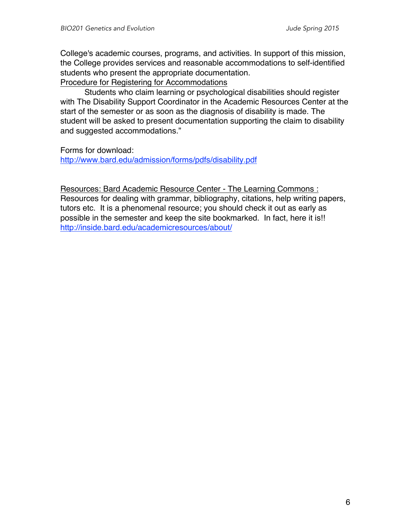College's academic courses, programs, and activities. In support of this mission, the College provides services and reasonable accommodations to self-identified students who present the appropriate documentation.

Procedure for Registering for Accommodations

Students who claim learning or psychological disabilities should register with The Disability Support Coordinator in the Academic Resources Center at the start of the semester or as soon as the diagnosis of disability is made. The student will be asked to present documentation supporting the claim to disability and suggested accommodations."

Forms for download:

http://www.bard.edu/admission/forms/pdfs/disability.pdf

Resources: Bard Academic Resource Center - The Learning Commons : Resources for dealing with grammar, bibliography, citations, help writing papers, tutors etc. It is a phenomenal resource; you should check it out as early as possible in the semester and keep the site bookmarked. In fact, here it is!! http://inside.bard.edu/academicresources/about/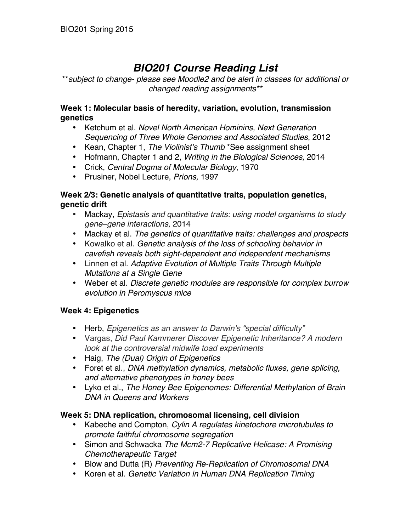# *BIO201 Course Reading List*

\*\**subject to change- please see Moodle2 and be alert in classes for additional or changed reading assignments\*\**

#### **Week 1: Molecular basis of heredity, variation, evolution, transmission genetics**

- Ketchum et al. *Novel North American Hominins, Next Generation Sequencing of Three Whole Genomes and Associated Studies*, 2012
- Kean, Chapter 1, *The Violinist's Thumb* \*See assignment sheet
- Hofmann, Chapter 1 and 2, *Writing in the Biological Sciences,* 2014
- Crick, *Central Dogma of Molecular Biology*, 1970
- Prusiner, Nobel Lecture, *Prions,* 1997

#### **Week 2/3: Genetic analysis of quantitative traits, population genetics, genetic drift**

- Mackay, *Epistasis and quantitative traits: using model organisms to study gene–gene interactions,* 2014
- Mackay et al. *The genetics of quantitative traits: challenges and prospects*
- Kowalko et al. *Genetic analysis of the loss of schooling behavior in cavefish reveals both sight-dependent and independent mechanisms*
- Linnen et al. *Adaptive Evolution of Multiple Traits Through Multiple Mutations at a Single Gene*
- Weber et al. *Discrete genetic modules are responsible for complex burrow evolution in Peromyscus mice*

#### **Week 4: Epigenetics**

- Herb, *Epigenetics as an answer to Darwin's "special difficulty"*
- Vargas, *Did Paul Kammerer Discover Epigenetic Inheritance? A modern look at the controversial midwife toad experiments*
- Haig, *The (Dual) Origin of Epigenetics*
- Foret et al., *DNA methylation dynamics, metabolic fluxes, gene splicing, and alternative phenotypes in honey bees*
- Lyko et al., *The Honey Bee Epigenomes: Differential Methylation of Brain DNA in Queens and Workers*

#### **Week 5: DNA replication, chromosomal licensing, cell division**

- Kabeche and Compton, *Cylin A regulates kinetochore microtubules to promote faithful chromosome segregation*
- Simon and Schwacka *The Mcm2-7 Replicative Helicase: A Promising Chemotherapeutic Target*
- Blow and Dutta (R) *Preventing Re-Replication of Chromosomal DNA*
- Koren et al. *Genetic Variation in Human DNA Replication Timing*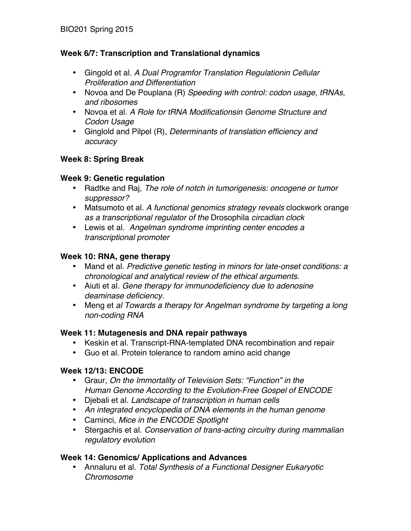#### **Week 6/7: Transcription and Translational dynamics**

- Gingold et al. *A Dual Programfor Translation Regulationin Cellular Proliferation and Differentiation*
- Novoa and De Pouplana (R) *Speeding with control: codon usage, tRNAs, and ribosomes*
- Novoa et al. *A Role for tRNA Modificationsin Genome Structure and Codon Usage*
- Ginglold and Pilpel (R), *Determinants of translation efficiency and accuracy*

### **Week 8: Spring Break**

#### **Week 9: Genetic regulation**

- Radtke and Raj, *The role of notch in tumorigenesis: oncogene or tumor suppressor?*
- Matsumoto et al. *A functional genomics strategy reveals* clockwork orange *as a transcriptional regulator of the* Drosophila *circadian clock*
- Lewis et al. *Angelman syndrome imprinting center encodes a transcriptional promoter*

### **Week 10: RNA, gene therapy**

- Mand et al. *Predictive genetic testing in minors for late-onset conditions: a chronological and analytical review of the ethical arguments.*
- Aiuti et al. *Gene therapy for immunodeficiency due to adenosine deaminase deficiency.*
- Meng et *al Towards a therapy for Angelman syndrome by targeting a long non-coding RNA*

#### **Week 11: Mutagenesis and DNA repair pathways**

- Keskin et al. Transcript-RNA-templated DNA recombination and repair
- Guo et al. Protein tolerance to random amino acid change

## **Week 12/13: ENCODE**

- Graur, *On the Immortality of Television Sets: "Function" in the Human Genome According to the Evolution-Free Gospel of ENCODE*
- Djebali et al. *Landscape of transcription in human cells*
- *An integrated encyclopedia of DNA elements in the human genome*
- Carninci, *Mice in the ENCODE Spotlight*
- Stergachis et al. *Conservation of trans-acting circuitry during mammalian regulatory evolution*

## **Week 14: Genomics/ Applications and Advances**

• Annaluru et al. *Total Synthesis of a Functional Designer Eukaryotic Chromosome*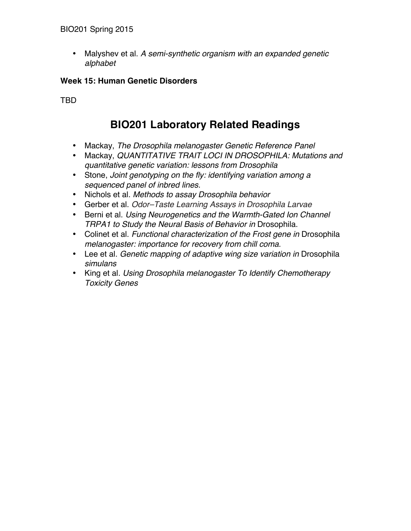• Malyshev et al. *A semi-synthetic organism with an expanded genetic alphabet*

### **Week 15: Human Genetic Disorders**

TBD

# **BIO201 Laboratory Related Readings**

- Mackay, *The Drosophila melanogaster Genetic Reference Panel*
- Mackay, *QUANTITATIVE TRAIT LOCI IN DROSOPHILA: Mutations and quantitative genetic variation: lessons from Drosophila*
- Stone, *Joint genotyping on the fly: identifying variation among a sequenced panel of inbred lines.*
- Nichols et al. *Methods to assay Drosophila behavior*
- Gerber et al. *Odor–Taste Learning Assays in Drosophila Larvae*
- Berni et al. *Using Neurogenetics and the Warmth-Gated Ion Channel TRPA1 to Study the Neural Basis of Behavior in* Drosophila.
- Colinet et al. *Functional characterization of the Frost gene in* Drosophila *melanogaster: importance for recovery from chill coma*.
- Lee et al. *Genetic mapping of adaptive wing size variation in* Drosophila *simulans*
- King et al*. Using Drosophila melanogaster To Identify Chemotherapy Toxicity Genes*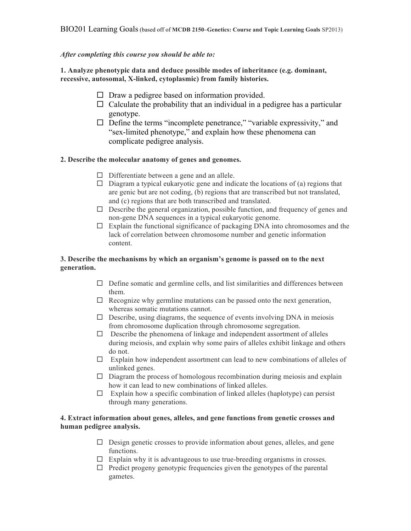#### *After completing this course you should be able to:*

**1. Analyze phenotypic data and deduce possible modes of inheritance (e.g. dominant, recessive, autosomal, X-linked, cytoplasmic) from family histories.**

- $\Box$  Draw a pedigree based on information provided.
- $\Box$  Calculate the probability that an individual in a pedigree has a particular genotype.
- $\Box$  Define the terms "incomplete penetrance," "variable expressivity," and "sex-limited phenotype," and explain how these phenomena can complicate pedigree analysis.

#### **2. Describe the molecular anatomy of genes and genomes.**

- $\Box$  Differentiate between a gene and an allele.
- $\Box$  Diagram a typical eukaryotic gene and indicate the locations of (a) regions that are genic but are not coding, (b) regions that are transcribed but not translated, and (c) regions that are both transcribed and translated.
- $\Box$  Describe the general organization, possible function, and frequency of genes and non-gene DNA sequences in a typical eukaryotic genome.
- $\Box$  Explain the functional significance of packaging DNA into chromosomes and the lack of correlation between chromosome number and genetic information content.

#### **3. Describe the mechanisms by which an organism's genome is passed on to the next generation.**

- $\Box$  Define somatic and germline cells, and list similarities and differences between them.
- $\Box$  Recognize why germline mutations can be passed onto the next generation, whereas somatic mutations cannot.
- $\Box$  Describe, using diagrams, the sequence of events involving DNA in meiosis from chromosome duplication through chromosome segregation.
- $\Box$  Describe the phenomena of linkage and independent assortment of alleles during meiosis, and explain why some pairs of alleles exhibit linkage and others do not.
- $\Box$  Explain how independent assortment can lead to new combinations of alleles of unlinked genes.
- $\Box$  Diagram the process of homologous recombination during meiosis and explain how it can lead to new combinations of linked alleles.
- $\Box$  Explain how a specific combination of linked alleles (haplotype) can persist through many generations.

#### **4. Extract information about genes, alleles, and gene functions from genetic crosses and human pedigree analysis.**

- $\Box$  Design genetic crosses to provide information about genes, alleles, and gene functions.
- $\Box$  Explain why it is advantageous to use true-breeding organisms in crosses.
- $\Box$  Predict progeny genotypic frequencies given the genotypes of the parental gametes.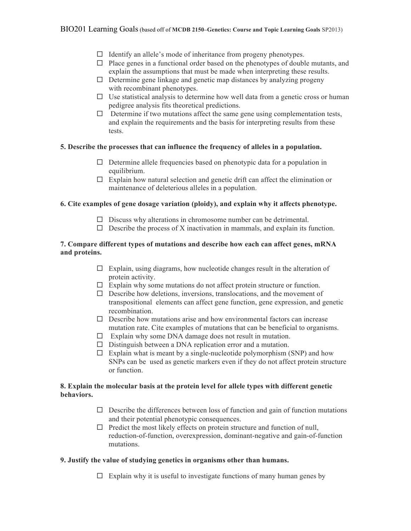- $\Box$  Identify an allele's mode of inheritance from progeny phenotypes.
- $\Box$  Place genes in a functional order based on the phenotypes of double mutants, and explain the assumptions that must be made when interpreting these results.
- $\Box$  Determine gene linkage and genetic map distances by analyzing progeny with recombinant phenotypes.
- $\Box$  Use statistical analysis to determine how well data from a genetic cross or human pedigree analysis fits theoretical predictions.
- $\Box$  Determine if two mutations affect the same gene using complementation tests, and explain the requirements and the basis for interpreting results from these tests.

#### **5. Describe the processes that can influence the frequency of alleles in a population.**

- $\Box$  Determine allele frequencies based on phenotypic data for a population in equilibrium.
- $\Box$  Explain how natural selection and genetic drift can affect the elimination or maintenance of deleterious alleles in a population.

#### **6. Cite examples of gene dosage variation (ploidy), and explain why it affects phenotype.**

- $\Box$  Discuss why alterations in chromosome number can be detrimental.
- $\Box$  Describe the process of X inactivation in mammals, and explain its function.

#### **7. Compare different types of mutations and describe how each can affect genes, mRNA and proteins.**

- $\Box$  Explain, using diagrams, how nucleotide changes result in the alteration of protein activity.
- $\Box$  Explain why some mutations do not affect protein structure or function.
- $\Box$  Describe how deletions, inversions, translocations, and the movement of transpositional elements can affect gene function, gene expression, and genetic recombination.
- $\Box$  Describe how mutations arise and how environmental factors can increase mutation rate. Cite examples of mutations that can be beneficial to organisms.
- $\Box$  Explain why some DNA damage does not result in mutation.
- $\Box$  Distinguish between a DNA replication error and a mutation.
- $\Box$  Explain what is meant by a single-nucleotide polymorphism (SNP) and how SNPs can be used as genetic markers even if they do not affect protein structure or function.

#### **8. Explain the molecular basis at the protein level for allele types with different genetic behaviors.**

- $\Box$  Describe the differences between loss of function and gain of function mutations and their potential phenotypic consequences.
- $\Box$  Predict the most likely effects on protein structure and function of null, reduction-of-function, overexpression, dominant-negative and gain-of-function mutations.

#### **9. Justify the value of studying genetics in organisms other than humans.**

 $\Box$  Explain why it is useful to investigate functions of many human genes by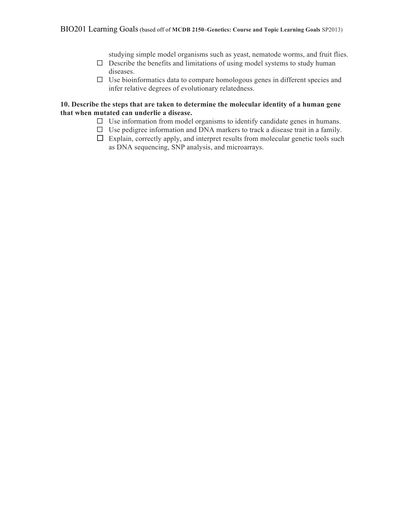studying simple model organisms such as yeast, nematode worms, and fruit flies.

- $\Box$  Describe the benefits and limitations of using model systems to study human diseases.
- $\Box$  Use bioinformatics data to compare homologous genes in different species and infer relative degrees of evolutionary relatedness.

#### **10. Describe the steps that are taken to determine the molecular identity of a human gene that when mutated can underlie a disease.**

- $\Box$  Use information from model organisms to identify candidate genes in humans.
- $\Box$  Use pedigree information and DNA markers to track a disease trait in a family.
- $\Box$  Explain, correctly apply, and interpret results from molecular genetic tools such as DNA sequencing, SNP analysis, and microarrays.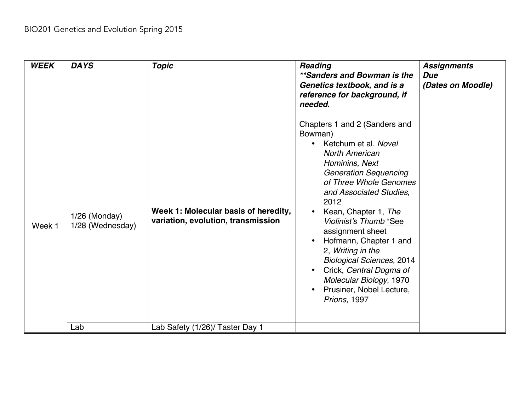| <b>WEEK</b> | <b>DAYS</b>                       | <b>Topic</b>                                                               | Reading<br>**Sanders and Bowman is the<br>Genetics textbook, and is a<br>reference for background, if<br>needed.                                                                                                                                                                                                                                                                                                                                                                 | <b>Assignments</b><br><b>Due</b><br>(Dates on Moodle) |
|-------------|-----------------------------------|----------------------------------------------------------------------------|----------------------------------------------------------------------------------------------------------------------------------------------------------------------------------------------------------------------------------------------------------------------------------------------------------------------------------------------------------------------------------------------------------------------------------------------------------------------------------|-------------------------------------------------------|
| Week 1      | 1/26 (Monday)<br>1/28 (Wednesday) | Week 1: Molecular basis of heredity,<br>variation, evolution, transmission | Chapters 1 and 2 (Sanders and<br>Bowman)<br>Ketchum et al. Novel<br><b>North American</b><br>Hominins, Next<br><b>Generation Sequencing</b><br>of Three Whole Genomes<br>and Associated Studies.<br>2012<br>Kean, Chapter 1, The<br>$\bullet$<br>Violinist's Thumb *See<br>assignment sheet<br>Hofmann, Chapter 1 and<br>2, Writing in the<br><b>Biological Sciences, 2014</b><br>Crick, Central Dogma of<br>Molecular Biology, 1970<br>Prusiner, Nobel Lecture,<br>Prions, 1997 |                                                       |
|             | Lab                               | Lab Safety (1/26)/ Taster Day 1                                            |                                                                                                                                                                                                                                                                                                                                                                                                                                                                                  |                                                       |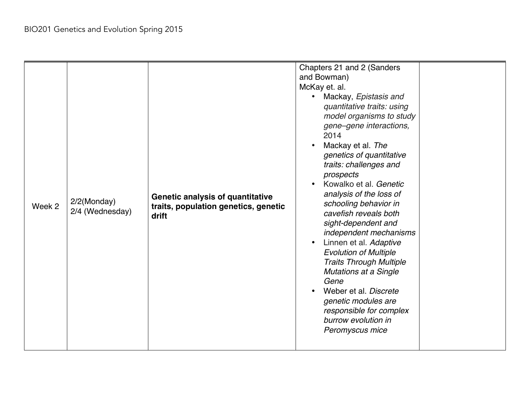| Week 2 | 2/2(Monday)<br>2/4 (Wednesday) | Genetic analysis of quantitative<br>traits, population genetics, genetic<br>drift | Chapters 21 and 2 (Sanders<br>and Bowman)<br>McKay et. al.<br>Mackay, Epistasis and<br>$\bullet$<br>quantitative traits: using<br>model organisms to study<br>gene-gene interactions,<br>2014<br>Mackay et al. The<br>genetics of quantitative<br>traits: challenges and<br>prospects<br>Kowalko et al. Genetic<br>$\bullet$<br>analysis of the loss of<br>schooling behavior in<br>cavefish reveals both<br>sight-dependent and<br>independent mechanisms<br>Linnen et al. Adaptive<br>$\bullet$<br><b>Evolution of Multiple</b><br><b>Traits Through Multiple</b><br><b>Mutations at a Single</b><br>Gene<br>Weber et al. Discrete<br>$\bullet$<br>genetic modules are<br>responsible for complex<br>burrow evolution in<br>Peromyscus mice |  |
|--------|--------------------------------|-----------------------------------------------------------------------------------|-----------------------------------------------------------------------------------------------------------------------------------------------------------------------------------------------------------------------------------------------------------------------------------------------------------------------------------------------------------------------------------------------------------------------------------------------------------------------------------------------------------------------------------------------------------------------------------------------------------------------------------------------------------------------------------------------------------------------------------------------|--|
|--------|--------------------------------|-----------------------------------------------------------------------------------|-----------------------------------------------------------------------------------------------------------------------------------------------------------------------------------------------------------------------------------------------------------------------------------------------------------------------------------------------------------------------------------------------------------------------------------------------------------------------------------------------------------------------------------------------------------------------------------------------------------------------------------------------------------------------------------------------------------------------------------------------|--|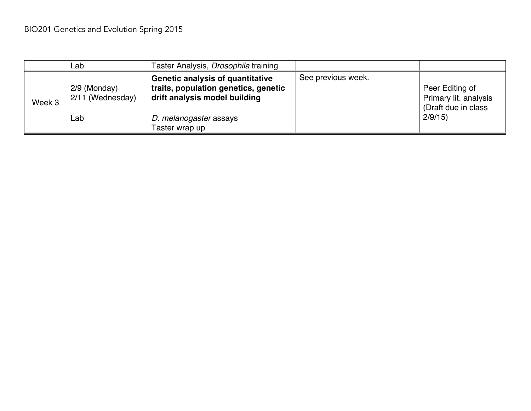|        | Lab                                | Taster Analysis, Drosophila training                                                                             |                    |                                                                 |
|--------|------------------------------------|------------------------------------------------------------------------------------------------------------------|--------------------|-----------------------------------------------------------------|
| Week 3 | $2/9$ (Monday)<br>2/11 (Wednesday) | <b>Genetic analysis of quantitative</b><br>traits, population genetics, genetic<br>drift analysis model building | See previous week. | Peer Editing of<br>Primary lit. analysis<br>(Draft due in class |
|        | Lab                                | D. melanogaster assays<br>Taster wrap up                                                                         |                    | 2/9/15                                                          |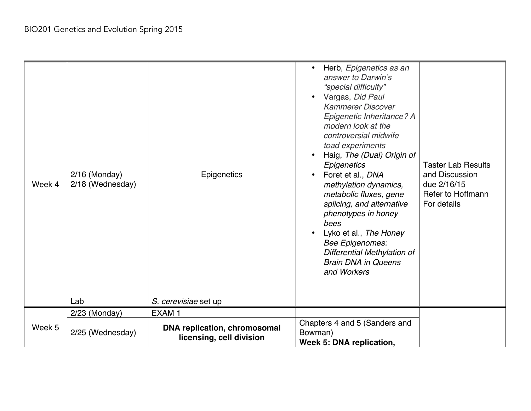| Week 4 | $2/16$ (Monday)<br>2/18 (Wednesday) | Epigenetics                                                     | Herb, Epigenetics as an<br>answer to Darwin's<br>"special difficulty"<br>• Vargas, Did Paul<br><b>Kammerer Discover</b><br>Epigenetic Inheritance? A<br>modern look at the<br>controversial midwife<br>toad experiments<br>Haig, The (Dual) Origin of<br>Epigenetics<br>Foret et al., DNA<br>methylation dynamics,<br>metabolic fluxes, gene<br>splicing, and alternative<br>phenotypes in honey<br>bees<br>Lyko et al., The Honey<br><b>Bee Epigenomes:</b><br>Differential Methylation of<br><b>Brain DNA in Queens</b><br>and Workers | <b>Taster Lab Results</b><br>and Discussion<br>due 2/16/15<br>Refer to Hoffmann<br>For details |
|--------|-------------------------------------|-----------------------------------------------------------------|------------------------------------------------------------------------------------------------------------------------------------------------------------------------------------------------------------------------------------------------------------------------------------------------------------------------------------------------------------------------------------------------------------------------------------------------------------------------------------------------------------------------------------------|------------------------------------------------------------------------------------------------|
|        | Lab                                 | S. cerevisiae set up                                            |                                                                                                                                                                                                                                                                                                                                                                                                                                                                                                                                          |                                                                                                |
|        | 2/23 (Monday)                       | EXAM <sub>1</sub>                                               |                                                                                                                                                                                                                                                                                                                                                                                                                                                                                                                                          |                                                                                                |
| Week 5 | 2/25 (Wednesday)                    | <b>DNA replication, chromosomal</b><br>licensing, cell division | Chapters 4 and 5 (Sanders and<br>Bowman)<br>Week 5: DNA replication,                                                                                                                                                                                                                                                                                                                                                                                                                                                                     |                                                                                                |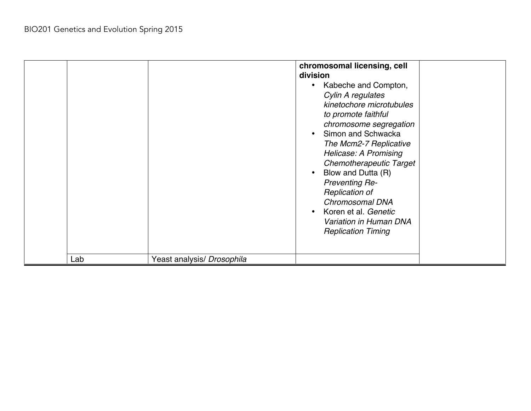| Lab | Yeast analysis/ Drosophila | chromosomal licensing, cell<br>division<br>Kabeche and Compton,<br>Cylin A regulates<br>kinetochore microtubules<br>to promote faithful<br>chromosome segregation<br>Simon and Schwacka<br>The Mcm2-7 Replicative<br>Helicase: A Promising<br><b>Chemotherapeutic Target</b><br>Blow and Dutta (R)<br><b>Preventing Re-</b><br>Replication of<br>Chromosomal DNA<br>Koren et al. Genetic<br>Variation in Human DNA<br><b>Replication Timing</b> |
|-----|----------------------------|-------------------------------------------------------------------------------------------------------------------------------------------------------------------------------------------------------------------------------------------------------------------------------------------------------------------------------------------------------------------------------------------------------------------------------------------------|
|     |                            |                                                                                                                                                                                                                                                                                                                                                                                                                                                 |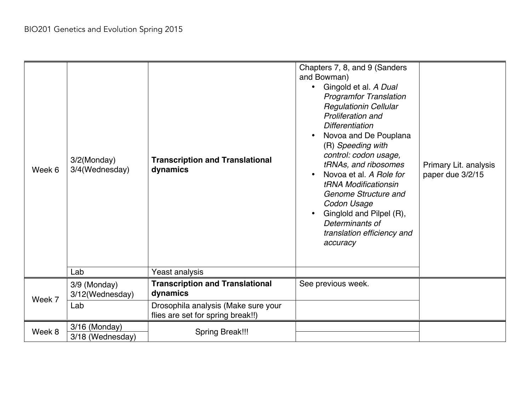| Week 6 | 3/2(Monday)<br>3/4(Wednesday)<br>Lab   | <b>Transcription and Translational</b><br>dynamics<br>Yeast analysis                                                           | Chapters 7, 8, and 9 (Sanders<br>and Bowman)<br>Gingold et al. A Dual<br><b>Programfor Translation</b><br><b>Regulationin Cellular</b><br>Proliferation and<br><b>Differentiation</b><br>Novoa and De Pouplana<br>(R) Speeding with<br>control: codon usage,<br>tRNAs, and ribosomes<br>Novoa et al. A Role for<br>tRNA Modificationsin<br>Genome Structure and<br>Codon Usage<br>Ginglold and Pilpel (R),<br>Determinants of<br>translation efficiency and<br>accuracy | Primary Lit. analysis<br>paper due 3/2/15 |
|--------|----------------------------------------|--------------------------------------------------------------------------------------------------------------------------------|-------------------------------------------------------------------------------------------------------------------------------------------------------------------------------------------------------------------------------------------------------------------------------------------------------------------------------------------------------------------------------------------------------------------------------------------------------------------------|-------------------------------------------|
|        |                                        |                                                                                                                                |                                                                                                                                                                                                                                                                                                                                                                                                                                                                         |                                           |
| Week 7 | 3/9 (Monday)<br>3/12(Wednesday)<br>Lab | <b>Transcription and Translational</b><br>dynamics<br>Drosophila analysis (Make sure your<br>flies are set for spring break!!) | See previous week.                                                                                                                                                                                                                                                                                                                                                                                                                                                      |                                           |
| Week 8 | 3/16 (Monday)<br>3/18 (Wednesday)      | <b>Spring Break!!!</b>                                                                                                         |                                                                                                                                                                                                                                                                                                                                                                                                                                                                         |                                           |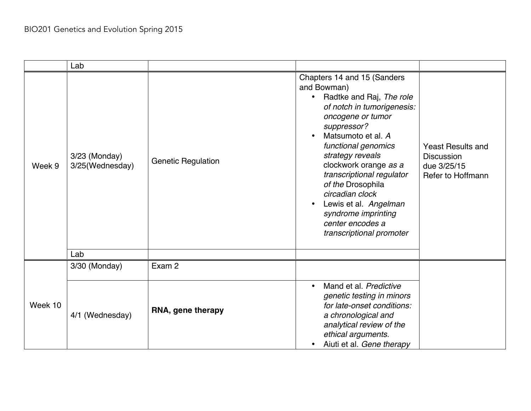|         | Lab                              |                           |                                                                                                                                                                                                                                                                                                                                                                                                                      |                                                                                   |
|---------|----------------------------------|---------------------------|----------------------------------------------------------------------------------------------------------------------------------------------------------------------------------------------------------------------------------------------------------------------------------------------------------------------------------------------------------------------------------------------------------------------|-----------------------------------------------------------------------------------|
| Week 9  | 3/23 (Monday)<br>3/25(Wednesday) | <b>Genetic Regulation</b> | Chapters 14 and 15 (Sanders<br>and Bowman)<br>Radtke and Raj, The role<br>$\bullet$<br>of notch in tumorigenesis:<br>oncogene or tumor<br>suppressor?<br>Matsumoto et al. A<br>functional genomics<br>strategy reveals<br>clockwork orange as a<br>transcriptional regulator<br>of the Drosophila<br>circadian clock<br>Lewis et al. Angelman<br>syndrome imprinting<br>center encodes a<br>transcriptional promoter | <b>Yeast Results and</b><br><b>Discussion</b><br>due 3/25/15<br>Refer to Hoffmann |
|         | Lab                              |                           |                                                                                                                                                                                                                                                                                                                                                                                                                      |                                                                                   |
|         | 3/30 (Monday)                    | Exam 2                    |                                                                                                                                                                                                                                                                                                                                                                                                                      |                                                                                   |
| Week 10 | 4/1 (Wednesday)                  | RNA, gene therapy         | Mand et al. Predictive<br>$\bullet$<br>genetic testing in minors<br>for late-onset conditions:<br>a chronological and<br>analytical review of the<br>ethical arguments.<br>Aiuti et al. Gene therapy                                                                                                                                                                                                                 |                                                                                   |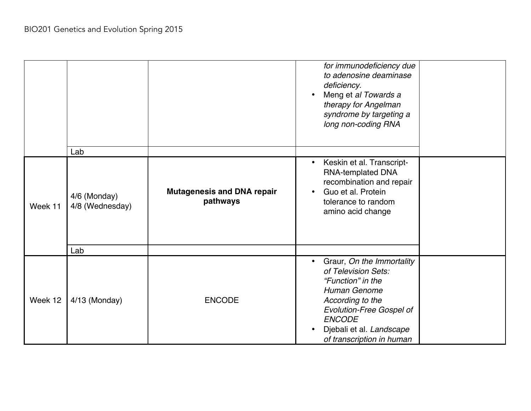|         | Lab                                    |                                               | for immunodeficiency due<br>to adenosine deaminase<br>deficiency.<br>Meng et al Towards a<br>therapy for Angelman<br>syndrome by targeting a<br>long non-coding RNA                                                    |  |
|---------|----------------------------------------|-----------------------------------------------|------------------------------------------------------------------------------------------------------------------------------------------------------------------------------------------------------------------------|--|
| Week 11 | 4/6 (Monday)<br>4/8 (Wednesday)<br>Lab | <b>Mutagenesis and DNA repair</b><br>pathways | Keskin et al. Transcript-<br><b>RNA-templated DNA</b><br>recombination and repair<br>Guo et al. Protein<br>tolerance to random<br>amino acid change                                                                    |  |
| Week 12 | 4/13 (Monday)                          | <b>ENCODE</b>                                 | Graur, On the Immortality<br>of Television Sets:<br>"Function" in the<br>Human Genome<br>According to the<br><b>Evolution-Free Gospel of</b><br><b>ENCODE</b><br>Djebali et al. Landscape<br>of transcription in human |  |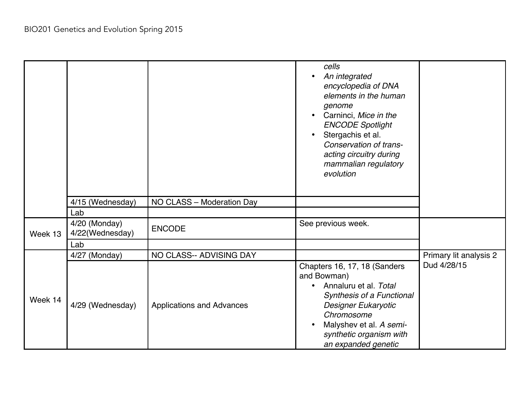|         |                                  |                                  | cells<br>An integrated<br>encyclopedia of DNA<br>elements in the human<br>genome<br>Carninci, Mice in the<br><b>ENCODE Spotlight</b><br>Stergachis et al.<br>$\bullet$<br>Conservation of trans-<br>acting circuitry during<br>mammalian regulatory<br>evolution |                        |
|---------|----------------------------------|----------------------------------|------------------------------------------------------------------------------------------------------------------------------------------------------------------------------------------------------------------------------------------------------------------|------------------------|
|         | 4/15 (Wednesday)<br>Lab          | NO CLASS - Moderation Day        |                                                                                                                                                                                                                                                                  |                        |
| Week 13 | 4/20 (Monday)<br>4/22(Wednesday) | <b>ENCODE</b>                    | See previous week.                                                                                                                                                                                                                                               |                        |
|         | Lab                              |                                  |                                                                                                                                                                                                                                                                  |                        |
|         | 4/27 (Monday)                    | NO CLASS-- ADVISING DAY          |                                                                                                                                                                                                                                                                  | Primary lit analysis 2 |
| Week 14 | 4/29 (Wednesday)                 | <b>Applications and Advances</b> | Chapters 16, 17, 18 (Sanders<br>and Bowman)<br>Annaluru et al. Total<br>Synthesis of a Functional<br>Designer Eukaryotic<br>Chromosome<br>Malyshev et al. A semi-<br>synthetic organism with<br>an expanded genetic                                              | Dud 4/28/15            |